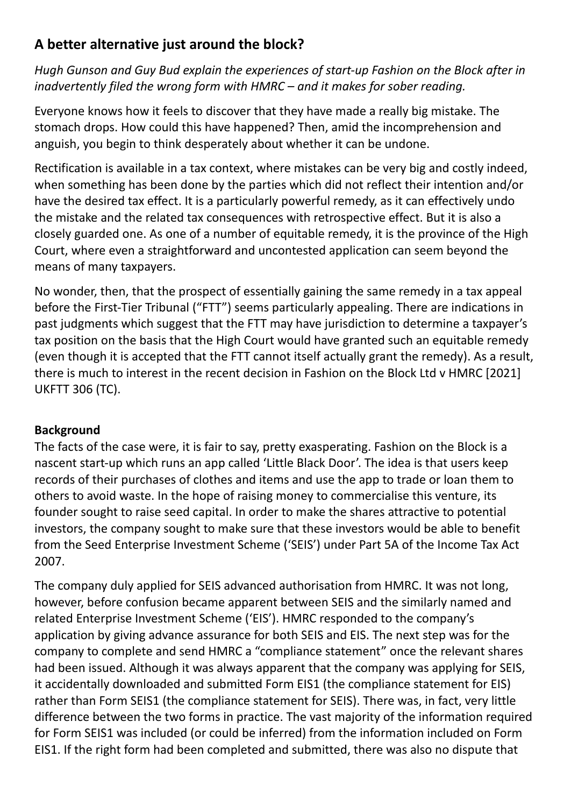# **A better alternative just around the block?**

*Hugh Gunson and Guy Bud explain the experiences of start-up Fashion on the Block after in inadvertently filed the wrong form with HMRC – and it makes for sober reading.*

Everyone knows how it feels to discover that they have made a really big mistake. The stomach drops. How could this have happened? Then, amid the incomprehension and anguish, you begin to think desperately about whether it can be undone.

Rectification is available in a tax context, where mistakes can be very big and costly indeed, when something has been done by the parties which did not reflect their intention and/or have the desired tax effect. It is a particularly powerful remedy, as it can effectively undo the mistake and the related tax consequences with retrospective effect. But it is also a closely guarded one. As one of a number of equitable remedy, it is the province of the High Court, where even a straightforward and uncontested application can seem beyond the means of many taxpayers.

No wonder, then, that the prospect of essentially gaining the same remedy in a tax appeal before the First-Tier Tribunal ("FTT") seems particularly appealing. There are indications in past judgments which suggest that the FTT may have jurisdiction to determine a taxpayer's tax position on the basis that the High Court would have granted such an equitable remedy (even though it is accepted that the FTT cannot itself actually grant the remedy). As a result, there is much to interest in the recent decision in Fashion on the Block Ltd v HMRC [2021] UKFTT 306 (TC).

# **Background**

The facts of the case were, it is fair to say, pretty exasperating. Fashion on the Block is a nascent start-up which runs an app called 'Little Black Door'. The idea is that users keep records of their purchases of clothes and items and use the app to trade or loan them to others to avoid waste. In the hope of raising money to commercialise this venture, its founder sought to raise seed capital. In order to make the shares attractive to potential investors, the company sought to make sure that these investors would be able to benefit from the Seed Enterprise Investment Scheme ('SEIS') under Part 5A of the Income Tax Act 2007.

The company duly applied for SEIS advanced authorisation from HMRC. It was not long, however, before confusion became apparent between SEIS and the similarly named and related Enterprise Investment Scheme ('EIS'). HMRC responded to the company's application by giving advance assurance for both SEIS and EIS. The next step was for the company to complete and send HMRC a "compliance statement" once the relevant shares had been issued. Although it was always apparent that the company was applying for SEIS, it accidentally downloaded and submitted Form EIS1 (the compliance statement for EIS) rather than Form SEIS1 (the compliance statement for SEIS). There was, in fact, very little difference between the two forms in practice. The vast majority of the information required for Form SEIS1 was included (or could be inferred) from the information included on Form EIS1. If the right form had been completed and submitted, there was also no dispute that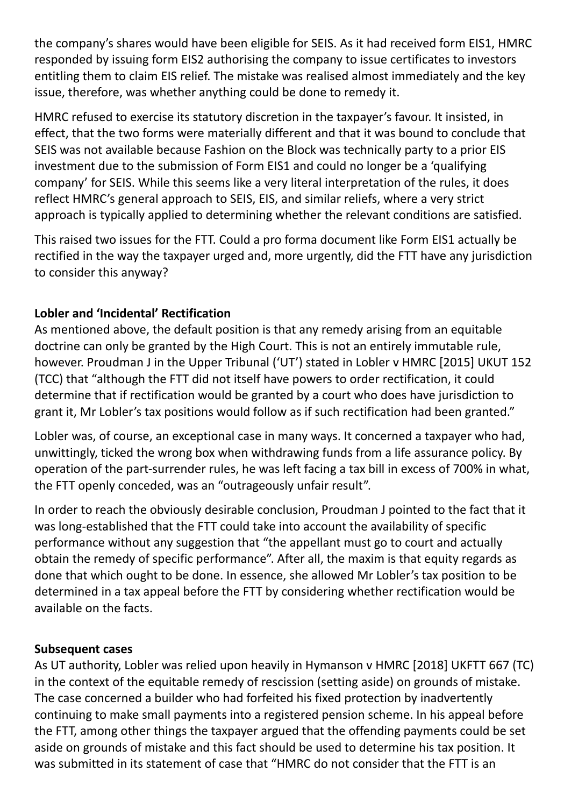the company's shares would have been eligible for SEIS. As it had received form EIS1, HMRC responded by issuing form EIS2 authorising the company to issue certificates to investors entitling them to claim EIS relief. The mistake was realised almost immediately and the key issue, therefore, was whether anything could be done to remedy it.

HMRC refused to exercise its statutory discretion in the taxpayer's favour. It insisted, in effect, that the two forms were materially different and that it was bound to conclude that SEIS was not available because Fashion on the Block was technically party to a prior EIS investment due to the submission of Form EIS1 and could no longer be a 'qualifying company' for SEIS. While this seems like a very literal interpretation of the rules, it does reflect HMRC's general approach to SEIS, EIS, and similar reliefs, where a very strict approach is typically applied to determining whether the relevant conditions are satisfied.

This raised two issues for the FTT. Could a pro forma document like Form EIS1 actually be rectified in the way the taxpayer urged and, more urgently, did the FTT have any jurisdiction to consider this anyway?

### **Lobler and 'Incidental' Rectification**

As mentioned above, the default position is that any remedy arising from an equitable doctrine can only be granted by the High Court. This is not an entirely immutable rule, however. Proudman J in the Upper Tribunal ('UT') stated in Lobler v HMRC [2015] UKUT 152 (TCC) that "although the FTT did not itself have powers to order rectification, it could determine that if rectification would be granted by a court who does have jurisdiction to grant it, Mr Lobler's tax positions would follow as if such rectification had been granted."

Lobler was, of course, an exceptional case in many ways. It concerned a taxpayer who had, unwittingly, ticked the wrong box when withdrawing funds from a life assurance policy. By operation of the part-surrender rules, he was left facing a tax bill in excess of 700% in what, the FTT openly conceded, was an "outrageously unfair result".

In order to reach the obviously desirable conclusion, Proudman J pointed to the fact that it was long-established that the FTT could take into account the availability of specific performance without any suggestion that "the appellant must go to court and actually obtain the remedy of specific performance". After all, the maxim is that equity regards as done that which ought to be done. In essence, she allowed Mr Lobler's tax position to be determined in a tax appeal before the FTT by considering whether rectification would be available on the facts.

#### **Subsequent cases**

As UT authority, Lobler was relied upon heavily in Hymanson v HMRC [2018] UKFTT 667 (TC) in the context of the equitable remedy of rescission (setting aside) on grounds of mistake. The case concerned a builder who had forfeited his fixed protection by inadvertently continuing to make small payments into a registered pension scheme. In his appeal before the FTT, among other things the taxpayer argued that the offending payments could be set aside on grounds of mistake and this fact should be used to determine his tax position. It was submitted in its statement of case that "HMRC do not consider that the FTT is an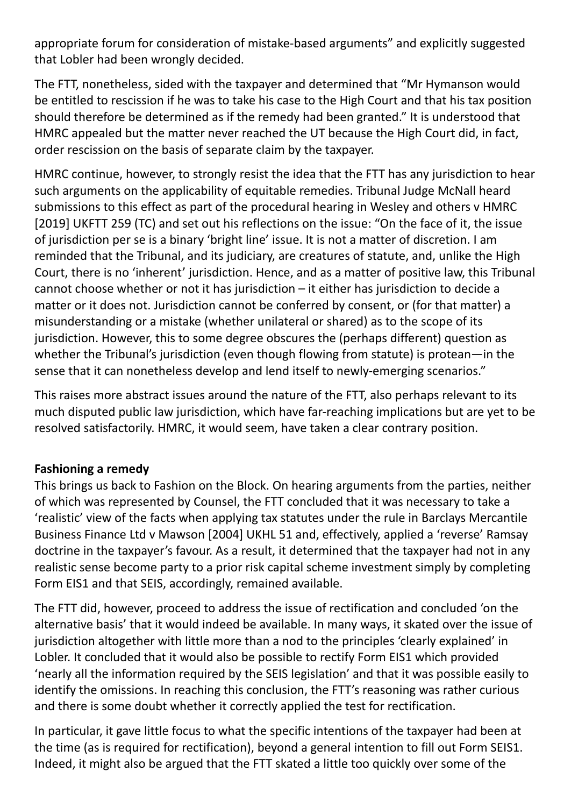appropriate forum for consideration of mistake-based arguments" and explicitly suggested that Lobler had been wrongly decided.

The FTT, nonetheless, sided with the taxpayer and determined that "Mr Hymanson would be entitled to rescission if he was to take his case to the High Court and that his tax position should therefore be determined as if the remedy had been granted." It is understood that HMRC appealed but the matter never reached the UT because the High Court did, in fact, order rescission on the basis of separate claim by the taxpayer.

HMRC continue, however, to strongly resist the idea that the FTT has any jurisdiction to hear such arguments on the applicability of equitable remedies. Tribunal Judge McNall heard submissions to this effect as part of the procedural hearing in Wesley and others v HMRC [2019] UKFTT 259 (TC) and set out his reflections on the issue: "On the face of it, the issue of jurisdiction per se is a binary 'bright line' issue. It is not a matter of discretion. I am reminded that the Tribunal, and its judiciary, are creatures of statute, and, unlike the High Court, there is no 'inherent' jurisdiction. Hence, and as a matter of positive law, this Tribunal cannot choose whether or not it has jurisdiction – it either has jurisdiction to decide a matter or it does not. Jurisdiction cannot be conferred by consent, or (for that matter) a misunderstanding or a mistake (whether unilateral or shared) as to the scope of its jurisdiction. However, this to some degree obscures the (perhaps different) question as whether the Tribunal's jurisdiction (even though flowing from statute) is protean—in the sense that it can nonetheless develop and lend itself to newly-emerging scenarios."

This raises more abstract issues around the nature of the FTT, also perhaps relevant to its much disputed public law jurisdiction, which have far-reaching implications but are yet to be resolved satisfactorily. HMRC, it would seem, have taken a clear contrary position.

### **Fashioning a remedy**

This brings us back to Fashion on the Block. On hearing arguments from the parties, neither of which was represented by Counsel, the FTT concluded that it was necessary to take a 'realistic' view of the facts when applying tax statutes under the rule in Barclays Mercantile Business Finance Ltd v Mawson [2004] UKHL 51 and, effectively, applied a 'reverse' Ramsay doctrine in the taxpayer's favour. As a result, it determined that the taxpayer had not in any realistic sense become party to a prior risk capital scheme investment simply by completing Form EIS1 and that SEIS, accordingly, remained available.

The FTT did, however, proceed to address the issue of rectification and concluded 'on the alternative basis' that it would indeed be available. In many ways, it skated over the issue of jurisdiction altogether with little more than a nod to the principles 'clearly explained' in Lobler. It concluded that it would also be possible to rectify Form EIS1 which provided 'nearly all the information required by the SEIS legislation' and that it was possible easily to identify the omissions. In reaching this conclusion, the FTT's reasoning was rather curious and there is some doubt whether it correctly applied the test for rectification.

In particular, it gave little focus to what the specific intentions of the taxpayer had been at the time (as is required for rectification), beyond a general intention to fill out Form SEIS1. Indeed, it might also be argued that the FTT skated a little too quickly over some of the